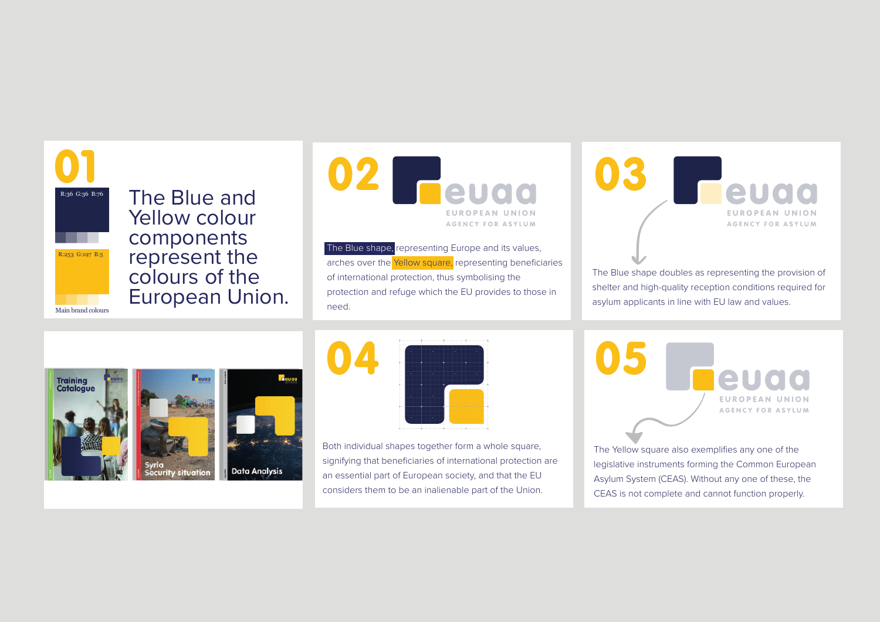

The Blue and Yellow colour components represent the colours of the European Union.



 $R:253 \text{ } \frac{G}{107 \cdot 155}$  The Blue shape, representing Europe and its values, arches over the Yellow square, representing beneficiaries of international protection, thus symbolising the protection and refuge which the EU provides to those in need.

03 **Feuaa EUROPEAN UNION AGENCY FOR ASYLUM** 

The Blue shape doubles as representing the provision of shelter and high-quality reception conditions required for asylum applicants in line with EU law and values.





Both individual shapes together form a whole square, signifying that beneficiaries of international protection are an essential part of European society, and that the EU considers them to be an inalienable part of the Union.

05 21100 **EUROPEAN UNION AGENCY FOR ASYLUM** 

The Yellow square also exemplifies any one of the legislative instruments forming the Common European Asylum System (CEAS). Without any one of these, the CEAS is not complete and cannot function properly.